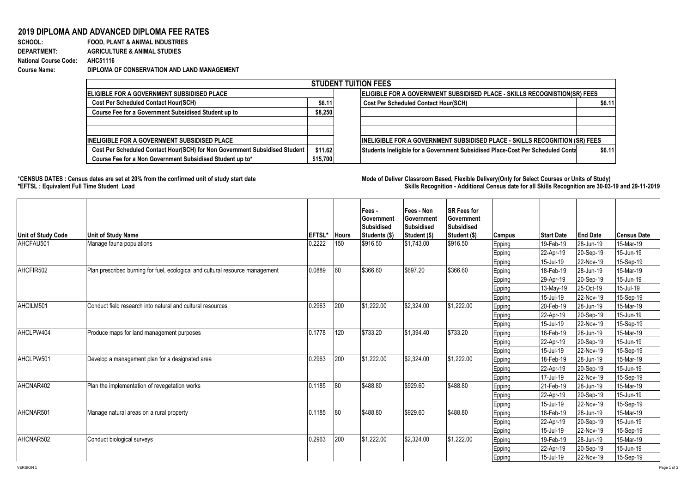## **2019 DIPLOMA AND ADVANCED DIPLOMA FEE RATES**

**SCHOOL: FOOD, PLANT & ANIMAL INDUSTRIES DEPARTMENT: AGRICULTURE & ANIMAL STUDIES National Course Code: AHC51116 Course Name: DIPLOMA OF CONSERVATION AND LAND MANAGEMENT**

| <b>STUDENT TUITION FEES</b>                                                |          |                                                                                   |        |  |  |  |  |  |  |
|----------------------------------------------------------------------------|----------|-----------------------------------------------------------------------------------|--------|--|--|--|--|--|--|
| <b>IELIGIBLE FOR A GOVERNMENT SUBSIDISED PLACE</b>                         |          | <b>IELIGIBLE FOR A GOVERNMENT SUBSIDISED PLACE - SKILLS RECOGNISTION(SR) FEES</b> |        |  |  |  |  |  |  |
| <b>Cost Per Scheduled Contact Hour(SCH)</b>                                | \$6.11   | <b>Cost Per Scheduled Contact Hour(SCH)</b>                                       | \$6.11 |  |  |  |  |  |  |
| Course Fee for a Government Subsidised Student up to                       | \$8,250  |                                                                                   |        |  |  |  |  |  |  |
|                                                                            |          |                                                                                   |        |  |  |  |  |  |  |
|                                                                            |          |                                                                                   |        |  |  |  |  |  |  |
| <b>INELIGIBLE FOR A GOVERNMENT SUBSIDISED PLACE</b>                        |          | INELIGIBLE FOR A GOVERNMENT SUBSIDISED PLACE - SKILLS RECOGNITION (SR) FEES       |        |  |  |  |  |  |  |
| Cost Per Scheduled Contact Hour(SCH) for Non Government Subsidised Student | \$11.62  | Students Ineligible for a Government Subsidised Place-Cost Per Scheduled Conta    | \$6.11 |  |  |  |  |  |  |
| Course Fee for a Non Government Subsidised Student up to*                  | \$15,700 |                                                                                   |        |  |  |  |  |  |  |

**\*CENSUS DATES : Census dates are set at 20% from the confirmed unit of study start date Mode of Delivery:Classroom Based, Flexible Delivery(Only for Select Courses or Units of Study) \*EFTSL : Equivalent Full Time Student Load Skills Recognition - Additional Census date for all Skills Recognition are 30-03-19 and 29-11-2019** 

| <b>Unit of Study Code</b> | <b>Unit of Study Name</b>                                                     | <b>EFTSL*</b> | <b>Hours</b> | Fees -<br>Government<br>Subsidised<br>Students (\$) | Fees - Non<br>Government<br>Subsidised<br>Student (\$) | <b>SR Fees for</b><br>Government<br>Subsidised<br>Student (\$) | <b>Campus</b> | <b>Start Date</b> | <b>End Date</b> | <b>Census Date</b> |
|---------------------------|-------------------------------------------------------------------------------|---------------|--------------|-----------------------------------------------------|--------------------------------------------------------|----------------------------------------------------------------|---------------|-------------------|-----------------|--------------------|
| AHCFAU501                 | Manage fauna populations                                                      | 0.2222        | 150          | \$916.50                                            | \$1,743.00                                             | \$916.50                                                       | Epping        | 19-Feb-19         | 28-Jun-19       | 15-Mar-19          |
|                           |                                                                               |               |              |                                                     |                                                        |                                                                | Epping        | 22-Apr-19         | 20-Sep-19       | 15-Jun-19          |
|                           |                                                                               |               |              |                                                     |                                                        |                                                                | Epping        | 15-Jul-19         | 22-Nov-19       | 15-Sep-19          |
| AHCFIR502                 | Plan prescribed burning for fuel, ecological and cultural resource management | 0.0889        | 60           | \$366.60                                            | \$697.20                                               | \$366.60                                                       | Epping        | 18-Feb-19         | 28-Jun-19       | 15-Mar-19          |
|                           |                                                                               |               |              |                                                     |                                                        |                                                                | Epping        | 29-Apr-19         | 20-Sep-19       | 15-Jun-19          |
|                           |                                                                               |               |              |                                                     |                                                        |                                                                | Epping        | 13-May-19         | 25-Oct-19       | 15-Jul-19          |
|                           |                                                                               |               |              |                                                     |                                                        |                                                                | Epping        | 15-Jul-19         | 22-Nov-19       | 15-Sep-19          |
| AHCILM501                 | Conduct field research into natural and cultural resources                    | 0.2963        | 200          | \$1,222.00                                          | \$2,324.00                                             | \$1,222.00                                                     | Epping        | 20-Feb-19         | 28-Jun-19       | 15-Mar-19          |
|                           |                                                                               |               |              |                                                     |                                                        |                                                                | Epping        | 22-Apr-19         | 20-Sep-19       | 15-Jun-19          |
|                           |                                                                               |               |              |                                                     |                                                        |                                                                | Epping        | 15-Jul-19         | 22-Nov-19       | 15-Sep-19          |
| AHCLPW404                 | Produce maps for land management purposes                                     | 0.1778        | 120          | \$733.20                                            | \$1,394.40                                             | \$733.20                                                       | Epping        | 18-Feb-19         | 28-Jun-19       | 15-Mar-19          |
|                           |                                                                               |               |              |                                                     |                                                        |                                                                | Epping        | 22-Apr-19         | 20-Sep-19       | 15-Jun-19          |
|                           |                                                                               |               |              |                                                     |                                                        |                                                                | Epping        | 15-Jul-19         | 22-Nov-19       | 15-Sep-19          |
| AHCLPW501                 | Develop a management plan for a designated area                               | 0.2963        | 200          | \$1,222.00                                          | \$2,324.00                                             | \$1,222.00                                                     | Epping        | 18-Feb-19         | 28-Jun-19       | 15-Mar-19          |
|                           |                                                                               |               |              |                                                     |                                                        |                                                                | Epping        | 22-Apr-19         | 20-Sep-19       | 15-Jun-19          |
|                           |                                                                               |               |              |                                                     |                                                        |                                                                | Epping        | 17-Jul-19         | 22-Nov-19       | 15-Sep-19          |
| AHCNAR402                 | Plan the implementation of revegetation works                                 | 0.1185        | 80           | \$488.80                                            | \$929.60                                               | \$488.80                                                       | Epping        | 21-Feb-19         | 28-Jun-19       | 15-Mar-19          |
|                           |                                                                               |               |              |                                                     |                                                        |                                                                | Epping        | 22-Apr-19         | 20-Sep-19       | 15-Jun-19          |
|                           |                                                                               |               |              |                                                     |                                                        |                                                                | Epping        | 15-Jul-19         | 22-Nov-19       | 15-Sep-19          |
| AHCNAR501                 | Manage natural areas on a rural property                                      | 0.1185        | 80           | \$488.80                                            | \$929.60                                               | \$488.80                                                       | Epping        | 18-Feb-19         | 28-Jun-19       | 15-Mar-19          |
|                           |                                                                               |               |              |                                                     |                                                        |                                                                | Epping        | 22-Apr-19         | 20-Sep-19       | 15-Jun-19          |
|                           |                                                                               |               |              |                                                     |                                                        |                                                                | Epping        | 15-Jul-19         | 22-Nov-19       | 15-Sep-19          |
| AHCNAR502                 | Conduct biological surveys                                                    | 0.2963        | 200          | \$1.222.00                                          | \$2,324.00                                             | \$1,222.00                                                     | Epping        | 19-Feb-19         | 28-Jun-19       | 15-Mar-19          |
|                           |                                                                               |               |              |                                                     |                                                        |                                                                | Epping        | 22-Apr-19         | 20-Sep-19       | 15-Jun-19          |
|                           |                                                                               |               |              |                                                     |                                                        |                                                                | Epping        | 15-Jul-19         | 22-Nov-19       | 15-Sep-19          |